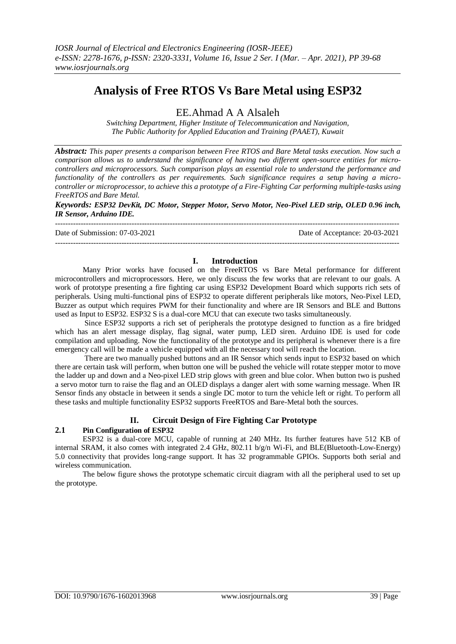# **Analysis of Free RTOS Vs Bare Metal using ESP32**

EE.Ahmad A A Alsaleh

*Switching Department, Higher Institute of Telecommunication and Navigation, The Public Authority for Applied Education and Training (PAAET), Kuwait*

*Abstract: This paper presents a comparison between Free RTOS and Bare Metal tasks execution. Now such a comparison allows us to understand the significance of having two different open-source entities for microcontrollers and microprocessors. Such comparison plays an essential role to understand the performance and functionality of the controllers as per requirements. Such significance requires a setup having a microcontroller or microprocessor, to achieve this a prototype of a Fire-Fighting Car performing multiple-tasks using FreeRTOS and Bare Metal.*

*Keywords: ESP32 DevKit, DC Motor, Stepper Motor, Servo Motor, Neo-Pixel LED strip, OLED 0.96 inch, IR Sensor, Arduino IDE.* ---------------------------------------------------------------------------------------------------------------------------------------

Date of Submission: 07-03-2021 Date of Acceptance: 20-03-2021

#### ---------------------------------------------------------------------------------------------------------------------------------------

#### **I. Introduction**

Many Prior works have focused on the FreeRTOS vs Bare Metal performance for different microcontrollers and microprocessors. Here, we only discuss the few works that are relevant to our goals. A work of prototype presenting a fire fighting car using ESP32 Development Board which supports rich sets of peripherals. Using multi-functional pins of ESP32 to operate different peripherals like motors, Neo-Pixel LED, Buzzer as output which requires PWM for their functionality and where are IR Sensors and BLE and Buttons used as Input to ESP32. ESP32 S is a dual-core MCU that can execute two tasks simultaneously.

Since ESP32 supports a rich set of peripherals the prototype designed to function as a fire bridged which has an alert message display, flag signal, water pump, LED siren. Arduino IDE is used for code compilation and uploading. Now the functionality of the prototype and its peripheral is whenever there is a fire emergency call will be made a vehicle equipped with all the necessary tool will reach the location.

There are two manually pushed buttons and an IR Sensor which sends input to ESP32 based on which there are certain task will perform, when button one will be pushed the vehicle will rotate stepper motor to move the ladder up and down and a Neo-pixel LED strip glows with green and blue color. When button two is pushed a servo motor turn to raise the flag and an OLED displays a danger alert with some warning message. When IR Sensor finds any obstacle in between it sends a single DC motor to turn the vehicle left or right. To perform all these tasks and multiple functionality ESP32 supports FreeRTOS and Bare-Metal both the sources.

## **II. Circuit Design of Fire Fighting Car Prototype**

## **2.1 Pin Configuration of ESP32**

ESP32 is a dual-core MCU, capable of running at 240 MHz. Its further features have 512 KB of internal SRAM, it also comes with integrated 2.4 GHz, 802.11 b/g/n Wi-Fi, and BLE(Bluetooth-Low-Energy) 5.0 connectivity that provides long-range support. It has 32 programmable GPIOs. Supports both serial and wireless communication.

The below figure shows the prototype schematic circuit diagram with all the peripheral used to set up the prototype.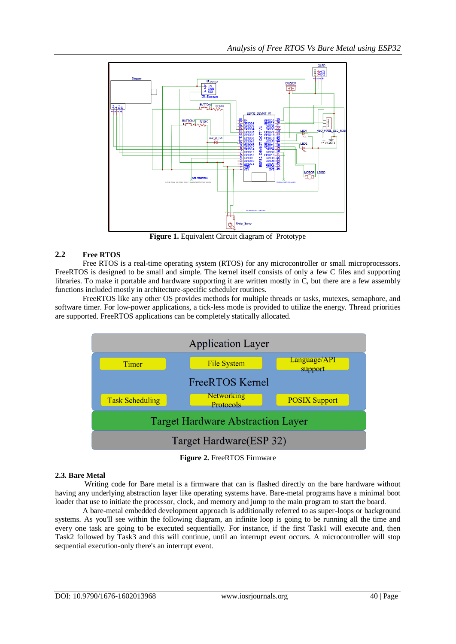

**Figure 1.** Equivalent Circuit diagram of Prototype

## **2.2 Free RTOS**

Free RTOS is a real-time operating system (RTOS) for any microcontroller or small microprocessors. FreeRTOS is designed to be small and simple. The kernel itself consists of only a few C files and supporting libraries. To make it portable and hardware supporting it are written mostly in C, but there are a few assembly functions included mostly in architecture-specific scheduler routines.

FreeRTOS like any other OS provides methods for multiple threads or tasks, mutexes, semaphore, and software timer. For low-power applications, a tick-less mode is provided to utilize the energy. Thread priorities are supported. FreeRTOS applications can be completely statically allocated.



**Figure 2.** FreeRTOS Firmware

# **2.3. Bare Metal**

Writing code for Bare metal is a firmware that can is flashed directly on the bare hardware without having any underlying abstraction layer like operating systems have. Bare-metal programs have a minimal boot loader that use to initiate the processor, clock, and memory and jump to the main program to start the board.

A bare-metal embedded development approach is additionally referred to as super-loops or background systems. As you'll see within the following diagram, an infinite loop is going to be running all the time and every one task are going to be executed sequentially. For instance, if the first Task1 will execute and, then Task2 followed by Task3 and this will continue, until an interrupt event occurs. A microcontroller will stop sequential execution-only there's an interrupt event.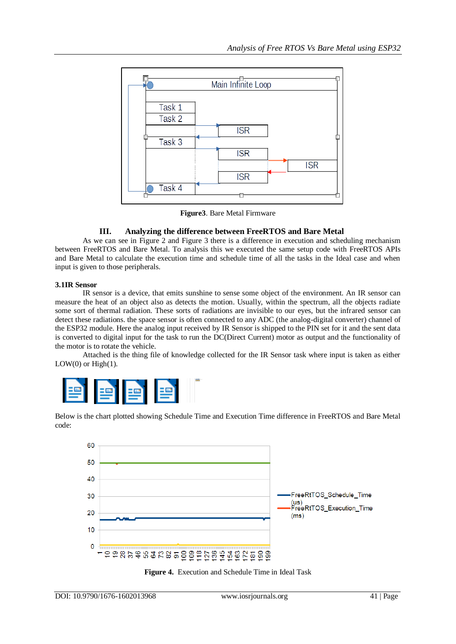

**Figure3**. Bare Metal Firmware

## **III. Analyzing the difference between FreeRTOS and Bare Metal**

As we can see in Figure 2 and Figure 3 there is a difference in execution and scheduling mechanism between FreeRTOS and Bare Metal. To analysis this we executed the same setup code with FreeRTOS APIs and Bare Metal to calculate the execution time and schedule time of all the tasks in the Ideal case and when input is given to those peripherals.

## **3.1IR Sensor**

IR sensor is a device, that emits sunshine to sense some object of the environment. An IR sensor can measure the heat of an object also as detects the motion. Usually, within the spectrum, all the objects radiate some sort of thermal radiation. These sorts of radiations are invisible to our eyes, but the infrared sensor can detect these radiations. the space sensor is often connected to any ADC (the analog-digital converter) channel of the ESP32 module. Here the analog input received by IR Sensor is shipped to the PIN set for it and the sent data is converted to digital input for the task to run the DC(Direct Current) motor as output and the functionality of the motor is to rotate the vehicle.

Attached is the thing file of knowledge collected for the IR Sensor task where input is taken as either LOW $(0)$  or High $(1)$ .



Below is the chart plotted showing Schedule Time and Execution Time difference in FreeRTOS and Bare Metal code:



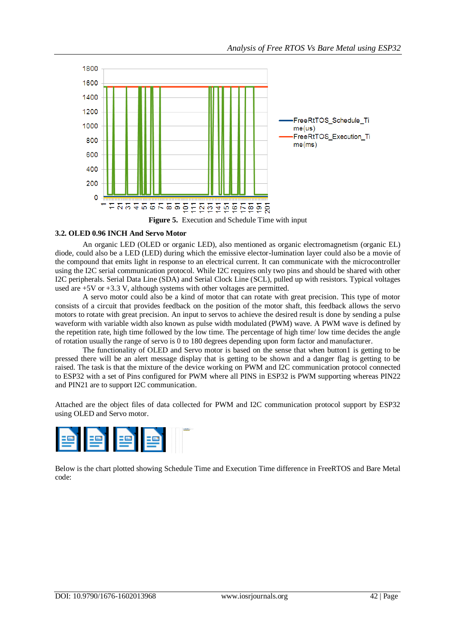

#### **3.2. OLED 0.96 INCH And Servo Motor**

An organic LED (OLED or organic LED), also mentioned as organic electromagnetism (organic EL) diode, could also be a LED (LED) during which the emissive elector-lumination layer could also be a movie of the compound that emits light in response to an electrical current. It can communicate with the microcontroller using the I2C serial communication protocol. While I2C requires only two pins and should be shared with other I2C peripherals. Serial Data Line (SDA) and Serial Clock Line (SCL), pulled up with resistors. Typical voltages used are +5V or +3.3 V, although systems with other voltages are permitted.

A servo motor could also be a kind of motor that can rotate with great precision. This type of motor consists of a circuit that provides feedback on the position of the motor shaft, this feedback allows the servo motors to rotate with great precision. An input to servos to achieve the desired result is done by sending a pulse waveform with variable width also known as pulse width modulated (PWM) wave. A PWM wave is defined by the repetition rate, high time followed by the low time. The percentage of high time/ low time decides the angle of rotation usually the range of servo is 0 to 180 degrees depending upon form factor and manufacturer.

The functionality of OLED and Servo motor is based on the sense that when button1 is getting to be pressed there will be an alert message display that is getting to be shown and a danger flag is getting to be raised. The task is that the mixture of the device working on PWM and I2C communication protocol connected to ESP32 with a set of Pins configured for PWM where all PINS in ESP32 is PWM supporting whereas PIN22 and PIN21 are to support I2C communication.

Attached are the object files of data collected for PWM and I2C communication protocol support by ESP32 using OLED and Servo motor.



Below is the chart plotted showing Schedule Time and Execution Time difference in FreeRTOS and Bare Metal code: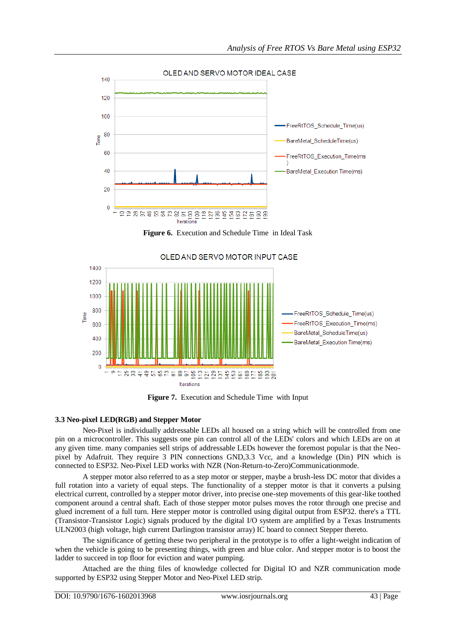

**Figure 6.** Execution and Schedule Time in Ideal Task



**Figure 7.** Execution and Schedule Time with Input

## **3.3 Neo-pixel LED(RGB) and Stepper Motor**

Neo-Pixel is individually addressable LEDs all housed on a string which will be controlled from one pin on a microcontroller. This suggests one pin can control all of the LEDs' colors and which LEDs are on at any given time. many companies sell strips of addressable LEDs however the foremost popular is that the Neopixel by Adafruit. They require 3 PIN connections GND,3.3 Vcc, and a knowledge (Din) PIN which is connected to ESP32. Neo-Pixel LED works with NZR (Non-Return-to-Zero)Communicationmode.

A stepper motor also referred to as a step motor or stepper, maybe a brush-less DC motor that divides a full rotation into a variety of equal steps. The functionality of a stepper motor is that it converts a pulsing electrical current, controlled by a stepper motor driver, into precise one-step movements of this gear-like toothed component around a central shaft. Each of those stepper motor pulses moves the rotor through one precise and glued increment of a full turn. Here stepper motor is controlled using digital output from ESP32. there's a TTL (Transistor-Transistor Logic) signals produced by the digital I/O system are amplified by a Texas Instruments ULN2003 (high voltage, high current Darlington transistor array) IC board to connect Stepper thereto.

The significance of getting these two peripheral in the prototype is to offer a light-weight indication of when the vehicle is going to be presenting things, with green and blue color. And stepper motor is to boost the ladder to succeed in top floor for eviction and water pumping.

Attached are the thing files of knowledge collected for Digital IO and NZR communication mode supported by ESP32 using Stepper Motor and Neo-Pixel LED strip.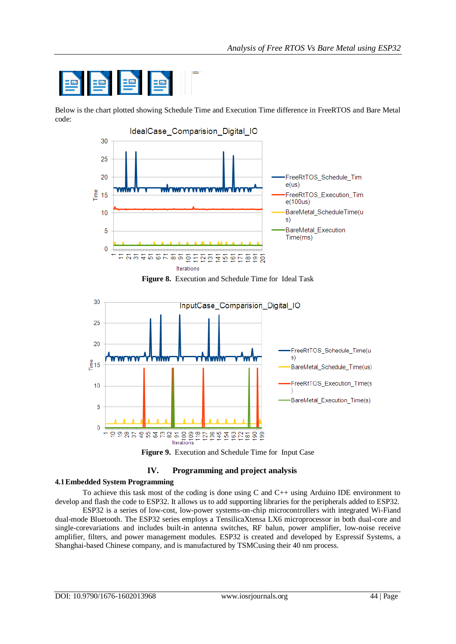

Below is the chart plotted showing Schedule Time and Execution Time difference in FreeRTOS and Bare Metal code:



**Figure 8.** Execution and Schedule Time for Ideal Task







## **4.1Embedded System Programming**

To achieve this task most of the coding is done using C and C++ using Arduino IDE environment to develop and flash the code to ESP32. It allows us to add supporting libraries for the peripherals added to ESP32.

ESP32 is a series of low-cost, low-power systems-on-chip microcontrollers with integrated Wi-Fiand dual-mode [Bluetooth.](https://en.wikipedia.org/wiki/Bluetooth) The ESP32 series employs a [TensilicaX](https://en.wikipedia.org/wiki/Tensilica)tensa LX6 microprocessor in both dual-core and single-corevariations and includes built-in antenna switches, RF [balun,](https://en.wikipedia.org/wiki/Balun) power amplifier, low-noise receive amplifier, filters, and power management modules. ESP32 is created and developed by [Espressif Systems,](https://en.wikipedia.org/w/index.php?title=Espressif_Systems&action=edit&redlink=1) a Shanghai-based Chinese company, and is manufactured by [TSMCu](https://en.wikipedia.org/wiki/TSMC)sing their 40 nm process.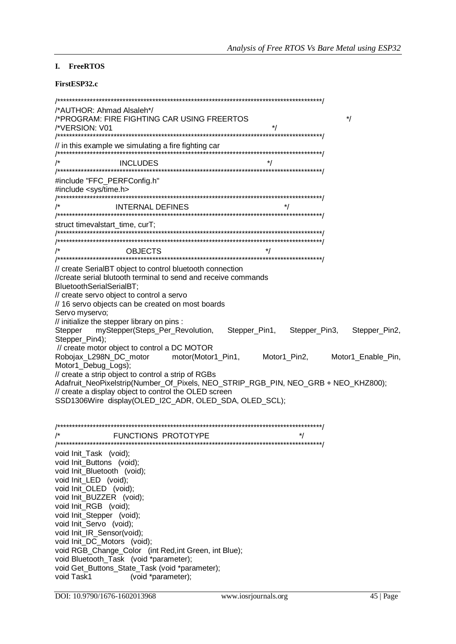# I. FreeRTOS

## FirstESP32.c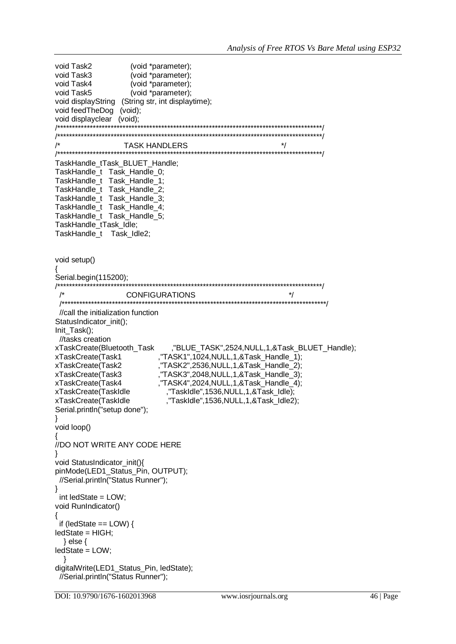```
void Task2
                 (void *parameter):
void Task3
                 (void *parameter);
void Task4
                 (void *parameter);
void Task5
                 (void *parameter);
void displayString (String str, int displaytime);
void feedTheDog (void);
void displayclear (void):
     7******/**
     \star/
\prime^*TASK HANDLERS
     TaskHandle_tTask_BLUET_Handle;
TaskHandle_t Task_Handle_0;
TaskHandle_t Task_Handle_1;
TaskHandle_t Task_Handle_2;
TaskHandle_t Task_Handle_3;
TaskHandle_t Task_Handle_4;
TaskHandle_t Task_Handle_5;
TaskHandle tTask Idle;
TaskHandle t Task Idle2;
void setup()
Serial.begin(115200);
1******CONFIGURATIONS
                                                     \frac{1}{\sqrt{2}}//call the initialization function
StatusIndicator_init();
Init_Task();
 //tasks creation
xTaskCreate(Bluetooth Task
                          ,"BLUE TASK",2524, NULL, 1, & Task BLUET Handle);
                        "TASK1",1024, NULL, 1, & Task_Handle_1);
xTaskCreate(Task1
xTaskCreate(Task2
                        "TASK2",2536, NULL, 1, & Task_Handle_2);
xTaskCreate(Task3
                        "TASK3",2048,NULL,1,&Task_Handle_3);
                       ,"TASK4",2024,NULL,1,&Task_Handle_4);
xTaskCreate(Task4
                         ,"TaskIdle",1536,NULL,1,&Task_Idle);
xTaskCreate(TaskIdle
xTaskCreate(TaskIdle
                         ,"TaskIdle",1536,NULL,1,&Task_Idle2);
Serial.println("setup done");
\}void loop()
//DO NOT WRITE ANY CODE HERE
∖
void StatusIndicator_init(){
pinMode(LED1_Status_Pin, OUTPUT);
 //Serial.println("Status Runner");
\}int ledState = LOW;
void RunIndicator()
 if (ledState == LOW) {
ledState = HIGH:
 } else \{ledState = LOW;
digitalWrite(LED1_Status_Pin, ledState);
 //Serial.println("Status Runner");
```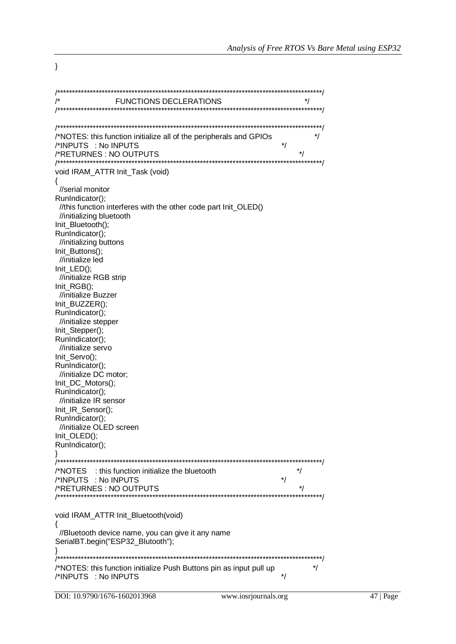**FUNCTIONS DECLERATIONS**  $^*/$  $^*/$ /\*NOTES: this function initialize all of the peripherals and GPIOs  $\frac{1}{\sqrt{2}}$ /\*INPUTS : No INPUTS  $\frac{1}{\sqrt{2}}$ /\*RETURNES: NO OUTPUTS \*\*\*\*\*\*\*\*\*/ void IRAM\_ATTR Init\_Task (void)  $\{$ //serial monitor RunIndicator(): //this function interferes with the other code part Init\_OLED() //initializing bluetooth Init Bluetooth(); RunIndicator(); //initializing buttons Init Buttons(); //initialize led Init\_LED(); //initialize RGB strip  $Init\_RGB();$ //initialize Buzzer Init\_BUZZER(); RunIndicator(); //initialize stepper Init Stepper(); RunIndicator(); //initialize servo Init Servo(); RunIndicator(); //initialize DC motor; Init\_DC\_Motors(); RunIndicator(); //initialize IR sensor Init IR Sensor(); RunIndicator(); //initialize OLED screen Init OLED(); RunIndicator();  $\}$ /\*NOTES : this function initialize the bluetooth \*/ /\*INPUTS : No INPUTS  $^*/$  $\frac{1}{\sqrt{2}}$ /\*RETURNES: NO OUTPUTS /\*\*\*\*\*\*\*\*\*\*\*\*\*\*\*\* void IRAM ATTR Init Bluetooth(void)  $\{$ //Bluetooth device name, you can give it any name SerialBT.begin("ESP32\_Blutooth");  $\}$ /\*NOTES: this function initialize Push Buttons pin as input pull up  $\frac{1}{\sqrt{2}}$  $\frac{1}{\sqrt{2}}$ /\*INPUTS : No INPUTS

 $\mathcal{E}$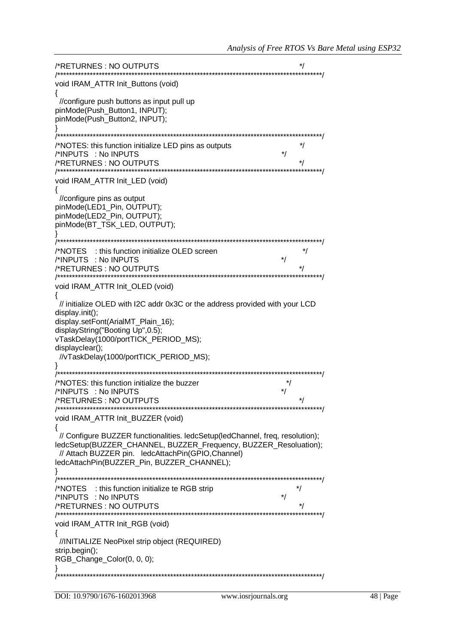| /*RETURNES: NO OUTPUTS                                                                                                                                                                                                                                                         |  |
|--------------------------------------------------------------------------------------------------------------------------------------------------------------------------------------------------------------------------------------------------------------------------------|--|
| void IRAM_ATTR Init_Buttons (void)                                                                                                                                                                                                                                             |  |
| //configure push buttons as input pull up<br>pinMode(Push_Button1, INPUT);<br>pinMode(Push_Button2, INPUT);                                                                                                                                                                    |  |
|                                                                                                                                                                                                                                                                                |  |
| /*NOTES: this function initialize LED pins as outputs<br>/*INPUTS : No INPUTS<br>*/<br>/*RETURNES : NO OUTPUTS                                                                                                                                                                 |  |
| void IRAM_ATTR Init_LED (void)                                                                                                                                                                                                                                                 |  |
| //configure pins as output<br>pinMode(LED1_Pin, OUTPUT);<br>pinMode(LED2_Pin, OUTPUT);<br>pinMode(BT_TSK_LED, OUTPUT);                                                                                                                                                         |  |
|                                                                                                                                                                                                                                                                                |  |
| /*NOTES : this function initialize OLED screen<br>/*INPUTS : No INPUTS<br>*/<br>/*RETURNES : NO OUTPUTS                                                                                                                                                                        |  |
| void IRAM_ATTR Init_OLED (void)                                                                                                                                                                                                                                                |  |
| // initialize OLED with I2C addr 0x3C or the address provided with your LCD<br>display.init();<br>display.setFont(ArialMT_Plain_16);<br>displayString("Booting Up", 0.5);<br>vTaskDelay(1000/portTICK_PERIOD_MS);<br>displayclear();<br>//vTaskDelay(1000/portTICK_PERIOD_MS); |  |
|                                                                                                                                                                                                                                                                                |  |
| /*NOTES: this function initialize the buzzer<br>/*INPUTS : No INPUTS<br>*/<br>/*RETURNES: NO OUTPUTS                                                                                                                                                                           |  |
| void IRAM_ATTR Init_BUZZER (void)                                                                                                                                                                                                                                              |  |
| // Configure BUZZER functionalities. ledcSetup(ledChannel, freq, resolution);<br>ledcSetup(BUZZER_CHANNEL, BUZZER_Frequency, BUZZER_Resoluation);<br>// Attach BUZZER pin. ledcAttachPin(GPIO,Channel)<br>ledcAttachPin(BUZZER_Pin, BUZZER_CHANNEL);                           |  |
|                                                                                                                                                                                                                                                                                |  |
| /*NOTES : this function initialize te RGB strip<br>/*INPUTS : No INPUTS<br>/*RETURNES : NO OUTPUTS                                                                                                                                                                             |  |
| void IRAM_ATTR Init_RGB (void)                                                                                                                                                                                                                                                 |  |
| //INITIALIZE NeoPixel strip object (REQUIRED)<br>strip.begin();                                                                                                                                                                                                                |  |
| RGB_Change_Color(0, 0, 0);                                                                                                                                                                                                                                                     |  |
|                                                                                                                                                                                                                                                                                |  |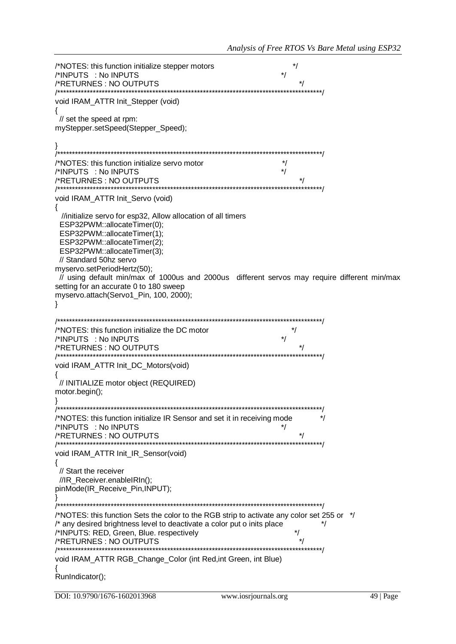/\*NOTES: this function initialize stepper motors  $^*/$  $\frac{1}{\sqrt{2}}$ /\*INPUTS : No INPUTS /\*RETURNES: NO OUTPUTS  $\star$ void IRAM\_ATTR Init\_Stepper (void) { // set the speed at rpm: myStepper.setSpeed(Stepper\_Speed);  $\mathcal{E}$ /\*NOTES: this function initialize servo motor  $\star$ / /\*INPUTS : No INPUTS  $\star$ /\*RETURNES: NO OUTPUTS  $\frac{1}{\sqrt{2}}$ void IRAM ATTR Init Servo (void) ₹ //initialize servo for esp32, Allow allocation of all timers ESP32PWM::allocateTimer(0); ESP32PWM::allocateTimer(1); ESP32PWM::allocateTimer(2); ESP32PWM::allocateTimer(3): // Standard 50hz servo myservo.setPeriodHertz(50); // using default min/max of 1000us and 2000us different servos may require different min/max setting for an accurate 0 to 180 sweep myservo.attach(Servo1\_Pin, 100, 2000);  $\}$ /\*NOTES: this function initialize the DC motor  $^{\star}$ /  $\star$ /\*INPUTS : No INPUTS /\*RETURNES: NO OUTPUTS /\*\*\*\*\*\*\*\*\*\*\*\*\*\*\*\*\*\*\*\* void IRAM ATTR Init DC Motors(void) ₹ // INITIALIZE motor object (REQUIRED) motor.begin();  $\}$ /\*NOTES: this function initialize IR Sensor and set it in receiving mode  $\overline{\phantom{a}}$ /\*INPUTS : No INPUTS /\*RETURNES: NO OUTPUTS  $^*/$ void IRAM\_ATTR Init\_IR\_Sensor(void) ₹ // Start the receiver //IR Receiver.enableIRIn(); pinMode(IR\_Receive\_Pin,INPUT); /\*NOTES: this function Sets the color to the RGB strip to activate any color set 255 or  $\dot{\gamma}$ /\* any desired brightness level to deactivate a color put o inits place  $\cdot$ /\*INPUTS: RED, Green, Blue. respectively \*/  $\star$ / /\*RETURNES: NO OUTPUTS /\*\*\*\*\*\*\*\*\*\*\*\*\*\*\*\*\*\*\*\*\*\*\*\*\*\*\*\* void IRAM\_ATTR RGB\_Change\_Color (int Red,int Green, int Blue) RunIndicator();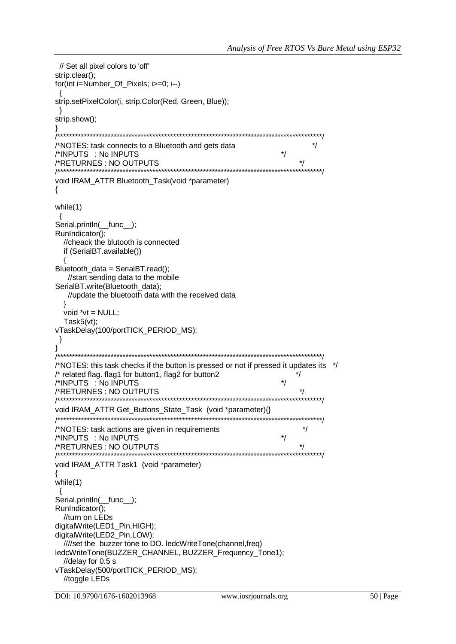```
// Set all pixel colors to 'off'
strip.clear();
for(int i=Number_Of_Pixels; i>=0; i--)
strip.setPixelColor(i, strip.Color(Red, Green, Blue));
}
strip.show():
<sup>}</sup>
/*NOTES: task connects to a Bluetooth and gets data
                                                          \frac{1}{\sqrt{2}}/*INPUTS : No INPUTS
                                                   ^*/\frac{1}{\sqrt{2}}/*RETURNES: NO OUTPUTS
void IRAM_ATTR Bluetooth_Task(void *parameter)
\{while(1)\left\{ \right.Serial.println( func );
RunIndicator();
 //cheack the blutooth is connected
 if (SerialBT.available())
  ₹
Bluetooth_data = SerialBT.read();
  //start sending data to the mobile
SerialBT.write(Bluetooth_data);
  //update the bluetooth data with the received data
 \}void *vt = NULL;Task5(vt);
vTaskDelay(100/portTICK_PERIOD_MS);
\}₹
/*NOTES: this task checks if the button is pressed or not if pressed it updates its */
/* related flag. flag1 for button1, flag2 for button2
                                                       ^*//*INPUTS : No INPUTS
                                                   \star/*RETURNES: NO OUTPUTS
                                                       \frac{1}{\sqrt{2}}void IRAM ATTR Get Buttons State Task (void *parameter){}
^*//*NOTES: task actions are given in requirements
/*INPUTS : No INPUTS
                                                   ^*/\star/*RETURNES: NO OUTPUTS
/*********************************
                      void IRAM ATTR Task1 (void *parameter)
₹
while(1)\{Serial.println( func );
RunIndicator();
 //turn on LEDs
digitalWrite(LED1 Pin,HIGH);
digitalWrite(LED2_Pin,LOW);
 ////set the buzzer tone to DO. ledcWriteTone(channel,freq)
ledcWriteTone(BUZZER_CHANNEL, BUZZER_Frequency_Tone1);
 //delay for 0.5 svTaskDelay(500/portTICK_PERIOD_MS);
 //toggle LEDs
```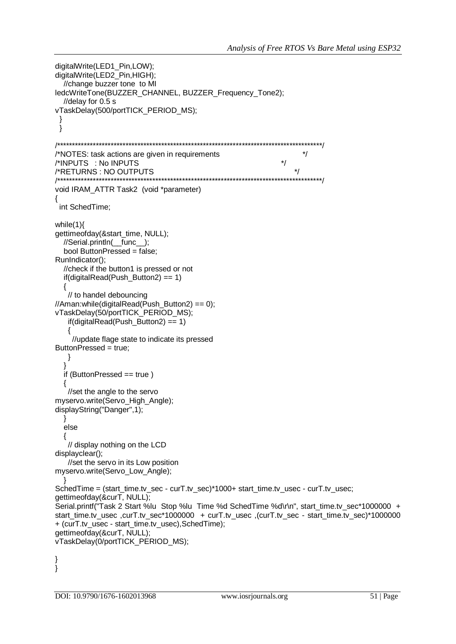```
digitalWrite(LED1_Pin.LOW):
digitalWrite(LED2 Pin,HIGH);
  //change buzzer tone to MI
ledcWriteTone(BUZZER_CHANNEL, BUZZER_Frequency_Tone2);
  //delay for 0.5 svTaskDelay(500/portTICK_PERIOD_MS);
 ₹
 \}/*NOTES: task actions are given in requirements
                                                                     ^{\star}/\frac{1}{\sqrt{2}}/*INPUTS : No INPUTS
/*RETURNS: NO OUTPUTS
                                                                   \frac{1}{\sqrt{2}}7***************************
                           *************
                                                                   **********/
void IRAM_ATTR Task2 (void *parameter)
\{int SchedTime;
while(1)gettimeofday(&start_time, NULL);
  //Serial.println( func );bool ButtonPressed = false;
RunIndicator():
  //check if the button1 is pressed or not
  if (digitalRead(Push_Button2) == 1)₹
   // to handel debouncing
//Aman:while(digitalRead(Push_Button2) == 0);
vTaskDelay(50/portTICK_PERIOD_MS);
   if (digitalRead(Push_Button2) == 1){
    //update flage state to indicate its pressed
ButtonPressed = true:
   \}\}if (ButtonPressed == true)
  \{//set the angle to the servo
myservo.write(Servo_High_Angle);
displayString("Danger",1);
  \}else
  {
   // display nothing on the LCD
displayclear();
   //set the servo in its Low position
myservo.write(Servo_Low_Angle);
SchedTime = (start_time.tv_sec - curT.tv_sec)*1000+ start_time.tv_usec - curT.tv_usec;
gettimeofday(&curT, NULL);
Serial.printf("Task 2 Start %lu Stop %lu Time %d SchedTime %d\r\n", start_time.tv_sec*1000000 +
start time.tv usec ,curT.tv sec*1000000 + curT.tv usec ,(curT.tv sec - start time.tv sec)*1000000
+ (curT.tv usec - start time.tv usec), SchedTime);
gettimeofday(&curT, NULL);
vTaskDelay(0/portTICK_PERIOD_MS);
<sup>}</sup>
∤
```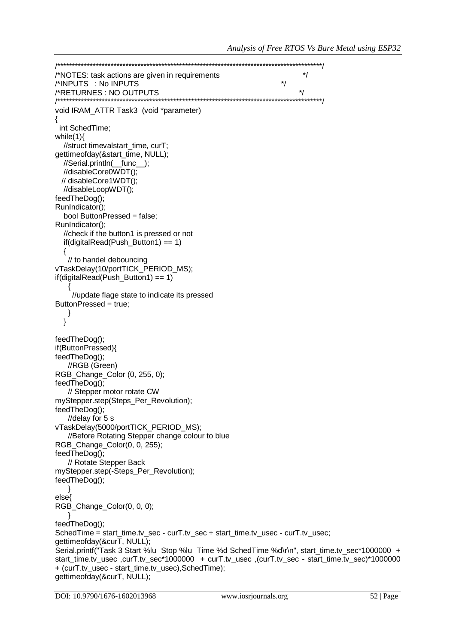```
^*//*NOTES: task actions are given in requirements
/*INPUTS : No INPUTS
                                                             \star\frac{1}{\sqrt{2}}/*RETURNES: NO OUTPUTS
/**void IRAM_ATTR Task3 (void *parameter)
₹
 int SchedTime;
while(1){
  //struct timevalstart time, curT;
gettimeofday(&start_time, NULL);
  //Serial.println(__func_);
  //disableCore0WDT();
 // disableCore1WDT();
  //disableLoopWDT();
feedTheDog();
RunIndicator();
  bool ButtonPressed = false;
RunIndicator();
  //check if the button1 is pressed or not
  if (digitalRead(Push_Button1) == 1)// to handel debouncing
vTaskDelay(10/portTICK PERIOD MS);
if (digitalRead(Push_Button1) == 1)//update flage state to indicate its pressed
ButtonPressed = true;
   }
  \mathcal{E}feedTheDog();
if(ButtonPressed){
feedTheDog();
   //RGB (Green)
RGB_Change_Color (0, 255, 0);
feedTheDog();
   // Stepper motor rotate CW
myStepper.step(Steps_Per_Revolution);
feedTheDog();
   //delay for 5svTaskDelay(5000/portTICK PERIOD MS);
   //Before Rotating Stepper change colour to blue
RGB_Change_Color(0, 0, 255);
feedTheDog();
   // Rotate Stepper Back
myStepper.step(-Steps_Per_Revolution);
feedTheDog();
   - }
else{
RGB_Change_Color(0, 0, 0);
feedTheDog();
SchedTime = start time.tv sec - curT.tv sec + start time.tv usec - curT.tv usec;
gettimeofday(&curT, NULL);
Serial.printf("Task 3 Start %lu Stop %lu Time %d SchedTime %d\r\n", start_time.tv_sec*1000000 +
start_time.tv_usec ,curT.tv_sec*1000000 + curT.tv_usec ,(curT.tv_sec - start_time.tv_sec)*1000000
+ (curT.tv_usec - start_time.tv_usec), SchedTime);
gettimeofday(&curT, NULL);
```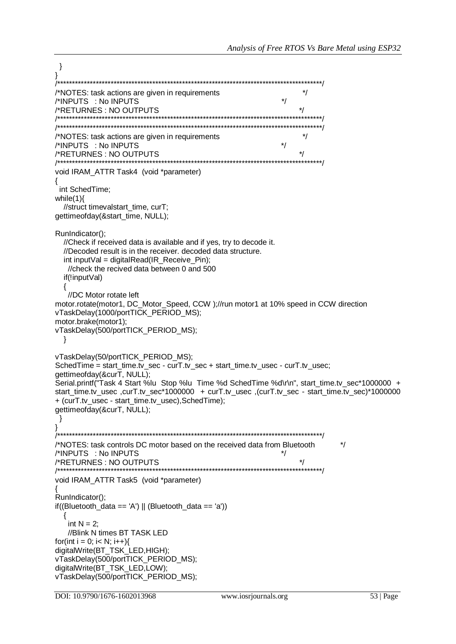```
\mathcal{E}/*NOTES: task actions are given in requirements
/*INPUTS : No INPUTS
/*RETURNES : NO OUTPUTS
                \star/
/*NOTES: task actions are given in requirements
/*INPUTS : No INPUTS
                                                    \star/
                                                        \frac{1}{\sqrt{2}}/*RETURNES: NO OUTPUTS
void IRAM ATTR Task4 (void *parameter)
int SchedTime:
while(1)//struct timevalstart time, curT;
gettimeofday(&start_time, NULL);
RunIndicator();
  //Check if received data is available and if yes, try to decode it.
  //Decoded result is in the receiver, decoded data structure.
  int input Val = digital Read (IR Receive Pin);
  //check the recived data between 0 and 500
  if(!inputVal)
  {
  //DC Motor rotate left
motor.rotate(motor1, DC_Motor_Speed, CCW);//run motor1 at 10% speed in CCW direction
vTaskDelay(1000/portTICK_PERIOD_MS);
motor.brake(motor1);
vTaskDelay(500/portTICK_PERIOD_MS);
 \mathcal{E}vTaskDelay(50/portTICK PERIOD MS);
SchedTime = start_time.tv_sec - curT.tv_sec + start_time.tv_usec - curT.tv_usec;
gettimeofday(&curT, NULL);
Serial.printf("Task 4 Start %lu Stop %lu Time %d SchedTime %d\r\n", start time.tv sec*1000000 +
start_time.tv_usec ,curT.tv_sec*1000000 + curT.tv_usec ,(curT.tv_sec - start_time.tv_sec)*1000000
+ (curT.tv_usec - start_time.tv_usec), SchedTime);
gettimeofday(&curT, NULL);
\}J
/*NOTES: task controls DC motor based on the received data from Bluetooth
                                                                  \star/
/*INPUTS : No INPUTS
/*RETURNES : NO OUTPUTS
                                                        ^*/*********/
void IRAM_ATTR Task5 (void *parameter)
RunIndicator();
if((Bluetooth_data == 'A') || (Bluetooth_data == 'a'))
   int N = 2:
  //Blink N times BT TASK LED
for(int i = 0; i< N; i++){
digitalWrite(BT_TSK_LED,HIGH);
vTaskDelay(500/portTICK PERIOD MS);
digitalWrite(BT_TSK_LED,LOW);
vTaskDelay(500/portTICK_PERIOD_MS);
```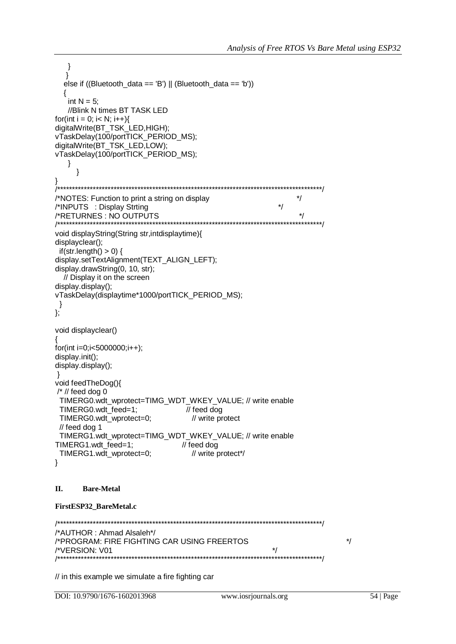$\rightarrow$ ł else if ((Bluetooth\_data == 'B') || (Bluetooth\_data == 'b')) int  $N = 5$ ; //Blink N times BT TASK LED for(int i = 0; i< N; i++){ digitalWrite(BT\_TSK\_LED,HIGH); vTaskDelay(100/portTICK\_PERIOD\_MS); digitalWrite(BT\_TSK\_LED,LOW); vTaskDelay(100/portTICK\_PERIOD\_MS);  $\}$  $\}$ /\*NOTES: Function to print a string on display  $\frac{1}{\sqrt{2}}$  $\star$ / /\*INPUTS : Display Strting /\*RETURNES: NO OUTPUTS  $\star$ / void displayString(String str, intdisplaytime){ displayclear(); if(str.length()  $>$  0) { display.setTextAlignment(TEXT\_ALIGN\_LEFT); display.drawString(0, 10, str); // Display it on the screen display.display(); vTaskDelay(displaytime\*1000/portTICK\_PERIOD\_MS);  $\}$ }; void displayclear() for(int i=0;i<5000000;i++); display.init(); display.display();  $\}$ void feedTheDog(){  $\frac{1}{2}$  // feed dog 0 TIMERG0.wdt\_wprotect=TIMG\_WDT\_WKEY\_VALUE; // write enable TIMERG0.wdt feed=1;  $\frac{1}{2}$  feed dog TIMERG0.wdt wprotect=0; // write protect  $//$  feed dog 1 TIMERG1.wdt\_wprotect=TIMG\_WDT\_WKEY\_VALUE; // write enable TIMERG1.wdt feed=1; // feed dog TIMERG1.wdt\_wprotect=0; // write protect\*/  $\}$ II. **Bare-Metal** 

## FirstESP32\_BareMetal.c

/\*AUTHOR: Ahmad Alsaleh\*/ /\*PROGRAM: FIRE FIGHTING CAR USING FREERTOS  $\frac{1}{\sqrt{2}}$  $\star$ /\*VERSION: V01 

// in this example we simulate a fire fighting car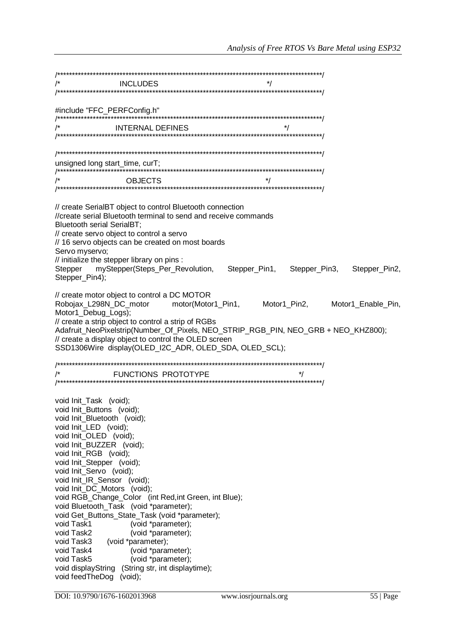| $\begin{array}{c} \text{unsigned long start\_time, curr}; \\ \textit{ \textit{ \textbf{f}^{\textbf{m}}}} \end{array}$                                                                                                                                                                                                                                                                                                                                                                                                                                                                                                                                                                                                                           |  |  |
|-------------------------------------------------------------------------------------------------------------------------------------------------------------------------------------------------------------------------------------------------------------------------------------------------------------------------------------------------------------------------------------------------------------------------------------------------------------------------------------------------------------------------------------------------------------------------------------------------------------------------------------------------------------------------------------------------------------------------------------------------|--|--|
|                                                                                                                                                                                                                                                                                                                                                                                                                                                                                                                                                                                                                                                                                                                                                 |  |  |
|                                                                                                                                                                                                                                                                                                                                                                                                                                                                                                                                                                                                                                                                                                                                                 |  |  |
| // create SerialBT object to control Bluetooth connection<br>//create serial Bluetooth terminal to send and receive commands<br>Bluetooth serial SerialBT;<br>// create servo object to control a servo<br>// 16 servo objects can be created on most boards<br>Servo myservo;<br>// initialize the stepper library on pins :                                                                                                                                                                                                                                                                                                                                                                                                                   |  |  |
| Stepper myStepper(Steps_Per_Revolution, Stepper_Pin1, Stepper_Pin3, Stepper_Pin2,                                                                                                                                                                                                                                                                                                                                                                                                                                                                                                                                                                                                                                                               |  |  |
| Stepper_Pin4);                                                                                                                                                                                                                                                                                                                                                                                                                                                                                                                                                                                                                                                                                                                                  |  |  |
| // create motor object to control a DC MOTOR<br>Robojax_L298N_DC_motor motor(Motor1_Pin1, Motor1_Pin2, Motor1_Enable_Pin,<br>Motor1_Debug_Logs);<br>// create a strip object to control a strip of RGBs<br>Adafruit_NeoPixelstrip(Number_Of_Pixels, NEO_STRIP_RGB_PIN, NEO_GRB + NEO_KHZ800);<br>// create a display object to control the OLED screen<br>SSD1306Wire display(OLED_I2C_ADR, OLED_SDA, OLED_SCL);                                                                                                                                                                                                                                                                                                                                |  |  |
|                                                                                                                                                                                                                                                                                                                                                                                                                                                                                                                                                                                                                                                                                                                                                 |  |  |
|                                                                                                                                                                                                                                                                                                                                                                                                                                                                                                                                                                                                                                                                                                                                                 |  |  |
|                                                                                                                                                                                                                                                                                                                                                                                                                                                                                                                                                                                                                                                                                                                                                 |  |  |
| void Init_Task (void);<br>void Init_Buttons (void);<br>void Init_Bluetooth (void);<br>void Init_LED (void);<br>void Init_OLED (void);<br>void Init BUZZER (void);<br>void Init_RGB (void);<br>void Init_Stepper (void);<br>void Init_Servo (void);<br>void Init_IR_Sensor (void);<br>void Init_DC_Motors (void);<br>void RGB_Change_Color (int Red, int Green, int Blue);<br>void Bluetooth_Task (void *parameter);<br>void Get_Buttons_State_Task (void *parameter);<br>void Task1<br>(void *parameter);<br>void Task2<br>(void *parameter);<br>(void *parameter);<br>void Task3<br>void Task4<br>(void *parameter);<br>void Task5<br>(void *parameter);<br>(String str, int displaytime);<br>void displayString<br>void feedTheDog<br>(void); |  |  |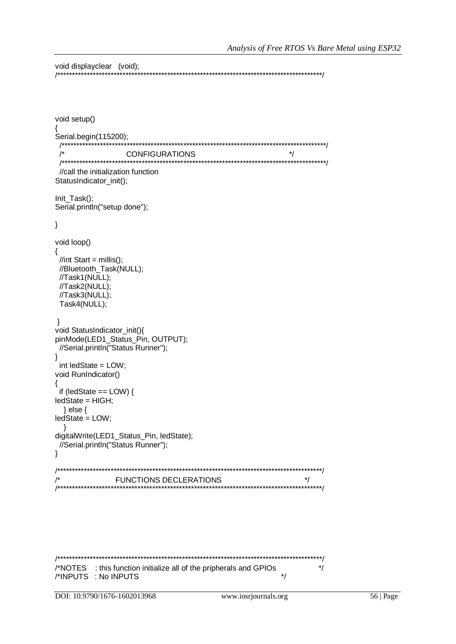```
void displayclear (void):
```

```
void setup()
Serial.begin(115200);
                  /**
 \prime^*\frac{1}{\sqrt{2}}CONFIGURATIONS
///call the initialization function
StatusIndicator_init();
Init Task();
Serial.println("setup done");
\}void loop()
{
 //int Start = millis();
 //Bluetooth_Task(NULL);
 //Task1(NULL);
 //Task2(NULL);
 //Task3(NULL);
 Task4(NULL);
\}void StatusIndicator_init(){
pinMode(LED1_Status_Pin, OUTPUT);
 //Serial.println("Status Runner");
\}int ledState = LOW;
void RunIndicator()
\{if (ledState == LOW) {
ledState = HIGH;
 \} else \{ledState = LOW;
  \mathcal{E}digitalWrite(LED1_Status_Pin, ledState);
//Serial.println("Status Runner");
\}FUNCTIONS DECLERATIONS
                                                           ^{\star}/***********/
```
/\*NOTES : this function initialize all of the pripherals and GPIOs  $^{\star}/$ /\*INPUTS : No INPUTS  $\frac{1}{\sqrt{2}}$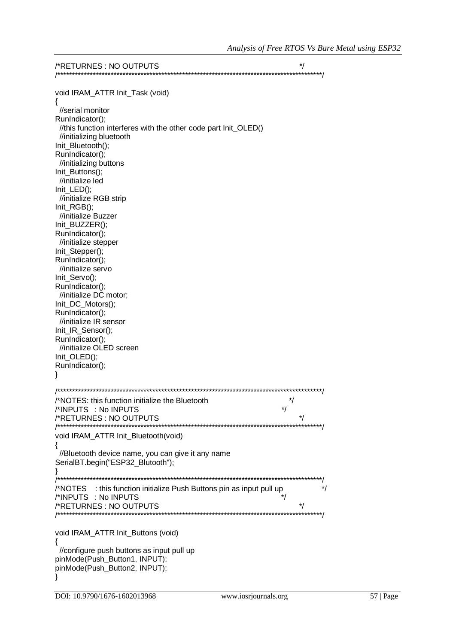| void IRAM_ATTR Init_Task (void)                                      |          |
|----------------------------------------------------------------------|----------|
|                                                                      |          |
| //serial monitor                                                     |          |
| RunIndicator();                                                      |          |
| //this function interferes with the other code part Init_OLED()      |          |
| //initializing bluetooth                                             |          |
| Init_Bluetooth();                                                    |          |
| RunIndicator();                                                      |          |
| //initializing buttons                                               |          |
| Init_Buttons();                                                      |          |
| //initialize led                                                     |          |
| Init_LED();                                                          |          |
| //initialize RGB strip                                               |          |
| Init_RGB();                                                          |          |
| //initialize Buzzer                                                  |          |
| Init_BUZZER();                                                       |          |
| RunIndicator();                                                      |          |
| //initialize stepper                                                 |          |
| Init_Stepper();                                                      |          |
| RunIndicator();                                                      |          |
| //initialize servo                                                   |          |
| Init_Servo();                                                        |          |
| RunIndicator();                                                      |          |
| //initialize DC motor;                                               |          |
| Init_DC_Motors();                                                    |          |
| RunIndicator();                                                      |          |
| //initialize IR sensor                                               |          |
| Init_IR_Sensor();                                                    |          |
| RunIndicator();                                                      |          |
| //initialize OLED screen                                             |          |
| Init_OLED();                                                         |          |
| RunIndicator();                                                      |          |
|                                                                      |          |
|                                                                      |          |
| ***********                                                          |          |
| /*NOTES: this function initialize the Bluetooth                      | $^*/$    |
| /*INPUTS : No INPUTS                                                 | */       |
| /*RETURNES : NO OUTPUTS<br>/**********                               |          |
|                                                                      |          |
| void IRAM_ATTR Init_Bluetooth(void)                                  |          |
|                                                                      |          |
| //Bluetooth device name, you can give it any name                    |          |
| SerialBT.begin("ESP32_Blutooth");                                    |          |
|                                                                      |          |
|                                                                      |          |
| /*NOTES : this function initialize Push Buttons pin as input pull up | */<br>*/ |
| /*INPUTS : No INPUTS                                                 |          |
| /*RETURNES : NO OUTPUTS                                              |          |
|                                                                      |          |
|                                                                      |          |
| void IRAM_ATTR Init_Buttons (void)                                   |          |
|                                                                      |          |
| //configure push buttons as input pull up                            |          |
| pinMode(Push_Button1, INPUT);                                        |          |
| pinMode(Push_Button2, INPUT);                                        |          |
|                                                                      |          |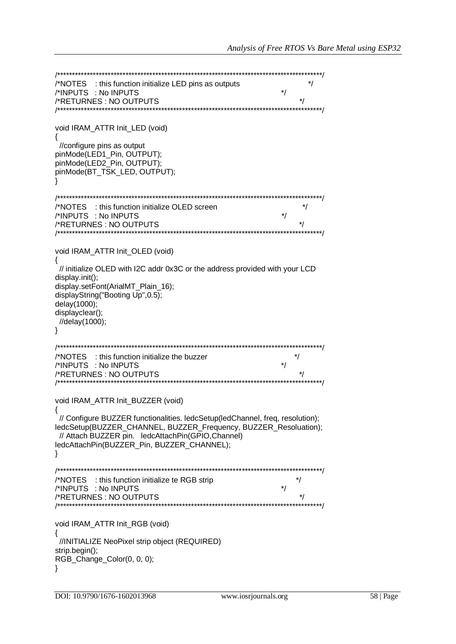/\*NOTES : this function initialize LED pins as outputs  $\star$  $\star$ / /\*INPUTS : No INPUTS  $\frac{1}{\sqrt{2}}$ /\*RETURNES: NO OUTPUTS void IRAM\_ATTR Init\_LED (void)  $\{$ //configure pins as output pinMode(LED1 Pin, OUTPUT); pinMode(LED2\_Pin, OUTPUT); pinMode(BT\_TSK\_LED, OUTPUT); ₹  $\frac{1}{\sqrt{2}}$ /\*NOTES : this function initialize OLED screen  $\star$ /\*INPUTS : No INPUTS  $^*/$ /\*RETURNES: NO OUTPUTS void IRAM ATTR Init OLED (void) // initialize OLED with I2C addr 0x3C or the address provided with your LCD display.init(); display.setFont(ArialMT\_Plain\_16); displayString("Booting Up", 0.5); delay(1000); displayclear(); //delay(1000);  $\}$ /\*NOTES : this function initialize the buzzer  $^*/$ /\*INPUTS : No INPUTS  $\star$ / /\*RETURNES : NO OUTPUTS  $^*/$ void IRAM\_ATTR Init\_BUZZER (void)  $\{$ // Configure BUZZER functionalities. ledcSetup(ledChannel, freq, resolution); ledcSetup(BUZZER CHANNEL, BUZZER Frequency, BUZZER Resoluation); // Attach BUZZER pin. ledcAttachPin(GPIO,Channel) ledcAttachPin(BUZZER\_Pin, BUZZER\_CHANNEL);  $\}$ /\*NOTES : this function initialize te RGB strip  $^{\star}/$ /\*INPUTS : No INPUTS  $^*/$  $\star$ /\*RETURNES: NO OUTPUTS void IRAM ATTR Init RGB (void) ₹ //INITIALIZE NeoPixel strip object (REQUIRED) strip.begin(); RGB\_Change\_Color(0, 0, 0);  $\}$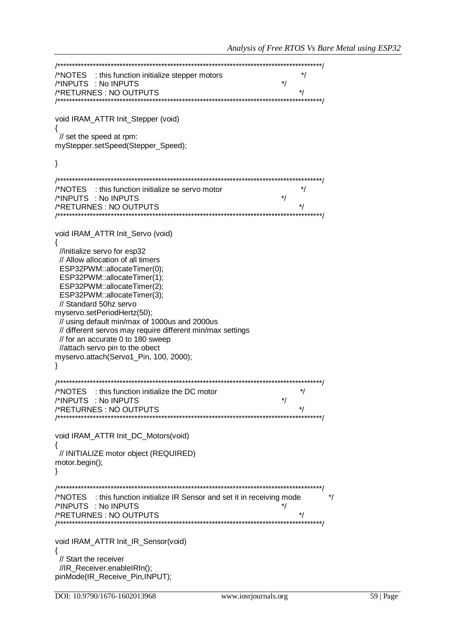/\*NOTES : this function initialize stepper motors  $^*/$ /\*INPUTS : No INPUTS /\*RETURNES: NO OUTPUTS  $\star$ / void IRAM ATTR Init Stepper (void)  $\{$ // set the speed at rpm: myStepper.setSpeed(Stepper Speed);  $\}$ /\*NOTES : this function initialize se servo motor  $\frac{1}{\sqrt{2}}$ /\*INPUTS : No INPUTS  $\star$ / /\*RETURNES : NO OUTPUTS  $\star$ void IRAM ATTR Init Servo (void)  $\{$ //initialize servo for esp32 // Allow allocation of all timers ESP32PWM::allocateTimer(0); ESP32PWM::allocateTimer(1); ESP32PWM::allocateTimer(2); ESP32PWM::allocateTimer(3); // Standard 50hz servo myservo.setPeriodHertz(50); // using default min/max of 1000us and 2000us // different servos may require different min/max settings // for an accurate 0 to 180 sweep //attach servo pin to the obect myservo.attach(Servo1 Pin, 100, 2000);  $\mathcal{E}$ /\*NOTES : this function initialize the DC motor  $^*/$  $\star$ /\*INPUTS : No INPUTS /\*RETURNES: NO OUTPUTS  $\overline{\phantom{a}}$ ,\*\*\*\*\*\*\*\*\*\*\*\*\*\*\*\*\*\*\*\*\*\*\*\*\*\*\*\*\*\*\*\*\*\* void IRAM\_ATTR Init\_DC\_Motors(void)  $\{$ // INITIALIZE motor object (REQUIRED) motor.begin();  $\}$ /\*NOTES : this function initialize IR Sensor and set it in receiving mode  $\star$ /\*INPUTS : No INPUTS  $\frac{1}{\sqrt{2}}$ /\*RETURNES: NO OUTPUTS \*\*\*\*\*\*\*\*\*/ void IRAM ATTR Init IR Sensor(void)  $\{$ // Start the receiver //IR Receiver.enableIRIn(); pinMode(IR\_Receive\_Pin,INPUT);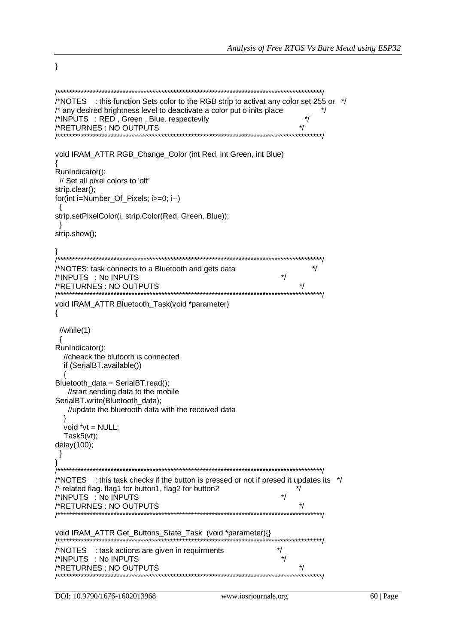$\mathcal{E}$ 

```
/*NOTES : this function Sets color to the RGB strip to activat any color set 255 or */
/* any desired brightness level to deactivate a color put o inits place
                                                             ^*//*INPUTS : RED, Green, Blue. respectevily
                                                        \frac{1}{\sqrt{2}}/*RETURNES: NO OUTPUTS
                       7*********void IRAM_ATTR RGB_Change_Color (int Red, int Green, int Blue)
RunIndicator();
// Set all pixel colors to 'off'
strip.clear();
for(int i=Number Of Pixels; i>=0; i--)
strip.setPixelColor(i, strip.Color(Red, Green, Blue));
∖
strip.show();
/*NOTES: task connects to a Bluetooth and gets data
                                                           ^*//*INPUTS : No INPUTS
                                                    ^*//*RETURNES: NO OUTPUTS
                                                        ^*/void IRAM_ATTR Bluetooth_Task(void *parameter)
\{//while(1)₹
RunIndicator();
 //cheack the blutooth is connected
 if (SerialBT.available())
Bluetooth_data = SerialBT.read();
  //start sending data to the mobile
SerialBT.write(Bluetooth_data);
  //update the bluetooth data with the received data
 \mathcal{E}void *vt = NULL;
 Task5(vt);
delay(100);
}
      /*NOTES : this task checks if the button is pressed or not if presed it updates its */
/* related flag. flag1 for button1, flag2 for button2
                                                       */
/*INPUTS : No INPUTS
                                                    \star/
                                                        \frac{1}{\sqrt{2}}/*RETURNES: NO OUTPUTS
void IRAM_ATTR Get_Buttons_State_Task (void *parameter){}
/*************************
                                                   \star/*NOTES : task actions are given in requirments
/*INPUTS : No INPUTS
                                                    \star/*RETURNES: NO OUTPUTS
                                                        \star/*******************************
```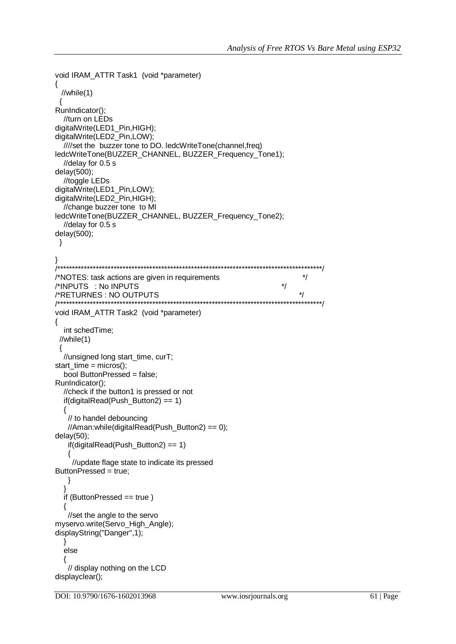```
void IRAM_ATTR Task1 (void *parameter)
 //while(1)\{RunIndicator();
  //turn on LEDs
digitalWrite(LED1_Pin,HIGH);
digitalWrite(LED2_Pin,LOW);
  ////set the buzzer tone to DO. ledcWriteTone(channel,freq)
ledcWriteTone(BUZZER_CHANNEL, BUZZER_Frequency_Tone1);
  //delay for 0.5 s
delay(500);
  //toggle LEDs
digitalWrite(LED1_Pin,LOW);
digitalWrite(LED2 Pin,HIGH);
  //change buzzer tone to MI
ledcWriteTone(BUZZER_CHANNEL, BUZZER_Frequency_Tone2);
  //delay for 0.5 sdelay(500);\mathcal{E}/*NOTES: task actions are given in requirements
                                                                     ^{\star}//*INPUTS : No INPUTS
                                                               \frac{1}{\sqrt{2}}\star/*RETURNES : NO OUTPUTS
                                                       \prime^*void IRAM_ATTR Task2 (void *parameter)
\{int schedTime;
 //while(1)\{//unsigned long start_time, curT;
start_time = micros();
  bool ButtonPressed = false;
RunIndicator();
  //check if the button1 is pressed or not
  if (digitalRead(Push_Button2) == 1){
   // to handel debouncing
   //Aman:while(digitalRead(Push Button2) == 0);
delay(50);if (digitalRead(Push_Button2) == 1){
    //update flage state to indicate its pressed
ButtonPressed = true;
   \}<sup>)</sup>
  if (ButtonPressed == true)
  \{//set the angle to the servo
myservo.write(Servo High Angle);
displayString("Danger",1);
  <sup>}</sup>
  else
   // display nothing on the LCD
displayclear();
```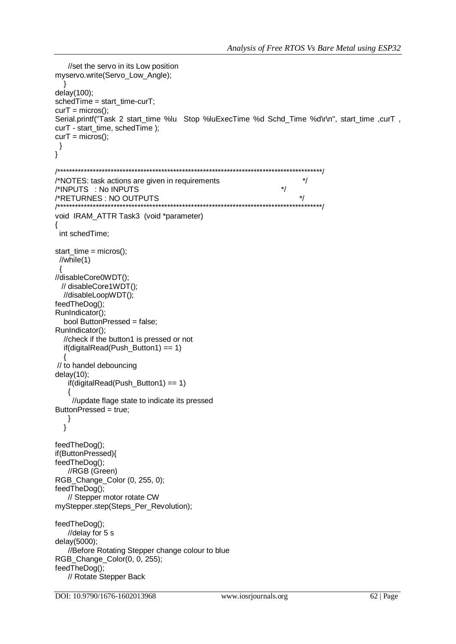```
//set the servo in its Low position
myservo.write(Servo_Low_Angle);
delay(100);schedTime = start_time-curT;
curT = micros();Serial.printf("Task 2 start time %lu Stop %luExecTime %d Schd Time %d\r\n", start time ,curT,
curT - start_time, schedTime);
curT = micros();\}\}/*NOTES: task actions are given in requirements
                                                               \frac{1}{\sqrt{2}}/*INPUTS : No INPUTS
                                                          \frac{1}{\sqrt{2}}\star/
/*RETURNES: NO OUTPUTS
void IRAM_ATTR Task3 (void *parameter)
ł
 int schedTime;
start_time = micros();//while(1)//disableCore0WDT();
 // disableCore1WDT();
  //disableLoopWDT();
feedTheDog();
RunIndicator();
  bool ButtonPressed = false;
RunIndicator();
  //check if the button1 is pressed or not
  if(digitalRead(Push Button1) == 1)
  \{// to handel debouncing
delay(10);if(digitalRead(Push Button1) == 1)
   \{//update flage state to indicate its pressed
ButtonPressed = true;
   \}\}feedTheDog();
if(ButtonPressed){
feedTheDog();
   //RGB (Green)
RGB_Change_Color (0, 255, 0);
feedTheDog();
   // Stepper motor rotate CW
myStepper.step(Steps_Per_Revolution);
feedTheDog();
   //delay for 5sdelay(5000);
   //Before Rotating Stepper change colour to blue
RGB_Change_Color(0, 0, 255);
feedTheDog();
   // Rotate Stepper Back
```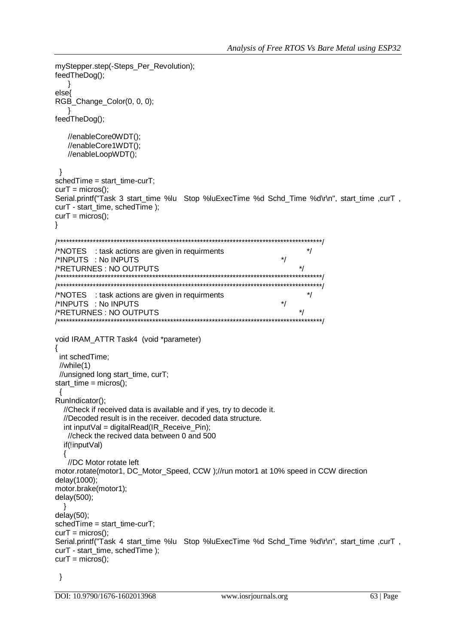```
myStepper.step(-Steps Per Revolution):
feedTheDog();
  - }
else
RGB_Change_Color(0, 0, 0);
feedTheDog();
  //enableCore0WDT();
  //enableCore1WDT();
  //enableLoopWDT();
\}sched Time = start time-curT;
curT = micros();
Serial.printf("Task 3 start time %lu Stop %luExecTime %d Schd Time %d\r\n", start time .curT,
curT - start time, schedTime);
curT = micros();
\}^*//*NOTES : task actions are given in requirments
/*INPUTS : No INPUTS
                                                    \star\star/*RETURNES: NO OUTPUTS
\star/*NOTES : task actions are given in requirments
/*INPUTS : No INPUTS
                                                     ^*/^*//*RETURNES: NO OUTPUTS
                       void IRAM ATTR Task4 (void *parameter)
\{int schedTime:
 //while(1)//unsigned long start_time, curT;
start_time = micros();\{RunIndicator();
  //Check if received data is available and if yes, try to decode it.
  //Decoded result is in the receiver. decoded data structure.
  int input Val = digital Read (IR Receive Pin);
  //check the recived data between 0 and 500
  if(!inputVal)
  {
   //DC Motor rotate left
motor.rotate(motor1, DC_Motor_Speed, CCW);//run motor1 at 10% speed in CCW direction
delay(1000);
motor.brake(motor1);
delay(500);- Y
delay(50);sched Time = start time-curT;
curT = micros();
Serial.printf("Task 4 start_time %lu Stop %luExecTime %d Schd_Time %d\r\n", start_time ,curT,
curT - start_time, schedTime);
curT = micros();
```

```
\}
```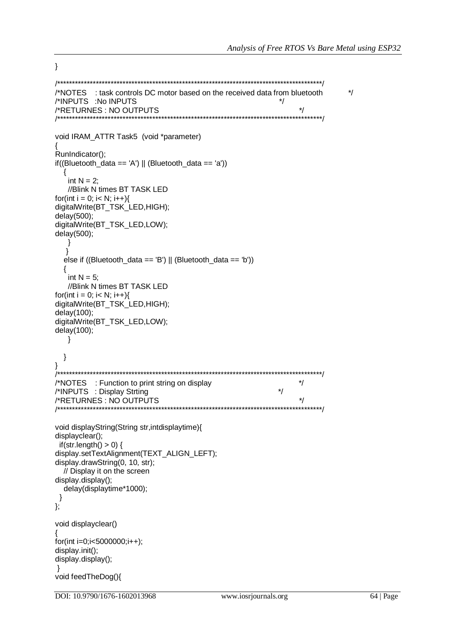}

```
/*****************************************************************************************/
/*NOTES : task controls DC motor based on the received data from bluetooth */
/*INPUTS :No INPUTS */
/*RETURNES : NO OUTPUTS */
/*****************************************************************************************/
void IRAM_ATTR Task5 (void *parameter)
{
RunIndicator();
if((Bluetooth_data == 'A') \parallel (Bluetooth_data == 'a'))
\{int N = 2:
    //Blink N times BT TASK LED
for(int i = 0; i< N; i++){
digitalWrite(BT_TSK_LED,HIGH);
delay(500);
digitalWrite(BT_TSK_LED,LOW);
delay(500);
    }
   }
   else if ((Bluetooth_data == 'B') || (Bluetooth_data == 'b'))
   {
   int N = 5;
    //Blink N times BT TASK LED
for(int i = 0; i< N; i++){
digitalWrite(BT_TSK_LED,HIGH);
delay(100);
digitalWrite(BT_TSK_LED,LOW);
delay(100);
    }
   }
}
-<br>-<br>-
/*NOTES : Function to print string on display */
/*INPUTS : Display Strting */
/*RETURNES : NO OUTPUTS */
/*****************************************************************************************/
void displayString(String str,intdisplaytime){
displayclear();
 if(str.length() > 0) {
display.setTextAlignment(TEXT_ALIGN_LEFT);
display.drawString(0, 10, str);
   // Display it on the screen
display.display();
   delay(displaytime*1000);
 }
};
void displayclear()
{
for(int i=0;i<5000000;i++);
display.init();
display.display();
}
void feedTheDog(){
```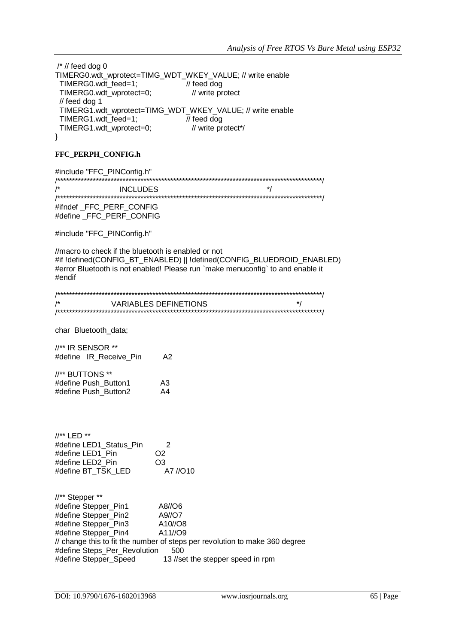| $\frac{1}{2}$ // feed dog 0                               |                        |
|-----------------------------------------------------------|------------------------|
| TIMERG0.wdt_wprotect=TIMG_WDT_WKEY_VALUE; // write enable |                        |
| TIMERG0.wdt feed=1;                                       | $\frac{1}{2}$ feed dog |
| TIMERG0.wdt_wprotect=0;                                   | // write protect       |
| $\frac{1}{2}$ feed dog 1                                  |                        |
| TIMERG1.wdt_wprotect=TIMG_WDT_WKEY_VALUE; // write enable |                        |
| TIMERG1.wdt_feed=1;                                       | $\frac{1}{2}$ feed dog |
| TIMERG1.wdt_wprotect=0;                                   | // write protect*/     |
|                                                           |                        |

## FFC\_PERPH\_CONFIG.h

#include "FFC\_PINConfig.h"  $/$ **INCLUDES**  $\frac{1}{\sqrt{2}}$ 

#ifndef\_FFC\_PERF\_CONFIG #define\_FFC\_PERF\_CONFIG

#include "FFC\_PINConfig.h"

//macro to check if the bluetooth is enabled or not #if !defined(CONFIG\_BT\_ENABLED) || !defined(CONFIG\_BLUEDROID\_ENABLED) #error Bluetooth is not enabled! Please run `make menuconfig` to and enable it #endif

| /* | VARIABLES DEFINETIONS | $\star$ |
|----|-----------------------|---------|
|    |                       |         |

char Bluetooth\_data;

//\*\* IR SENSOR \*\* #define IR\_Receive\_Pin  $A2$ 

| //** BUTTONS **      |    |
|----------------------|----|
| #define Push Button1 | A3 |
| #define Push Button2 | A4 |

| $\frac{1}{4}$ LED **    |                |
|-------------------------|----------------|
| #define LED1 Status Pin | 2              |
| #define LED1 Pin        | O <sub>2</sub> |
| #define LED2 Pin        | O <sub>3</sub> |
| #define BT TSK LED      | A7 //O10       |

| //** Stepper **              |                                                                             |
|------------------------------|-----------------------------------------------------------------------------|
| #define Stepper_Pin1         | A8//O6                                                                      |
| #define Stepper_Pin2         | A9//O7                                                                      |
| #define Stepper Pin3         | A10//O8                                                                     |
| #define Stepper_Pin4         | A11/09                                                                      |
|                              | // change this to fit the number of steps per revolution to make 360 degree |
| #define Steps_Per_Revolution | 500                                                                         |
| #define Stepper_Speed        | 13 //set the stepper speed in rpm                                           |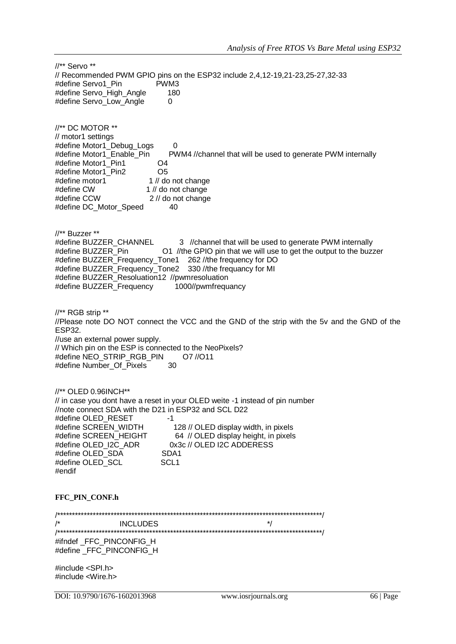//\*\* Servo \*\* // Recommended PWM GPIO pins on the ESP32 include 2,4,12-19,21-23,25-27,32-33 #define Servo1\_Pin PWM3<br>#define Servo High Angle 180 #define Servo\_High\_Angle #define Servo\_Low\_Angle 0 //\*\* DC MOTOR \*\* // motor1 settings #define Motor1\_Debug\_Logs 0 #define Motor1\_Enable\_Pin PWM4 //channel that will be used to generate PWM internally #define Motor1\_Pin1 O4 #define Motor1\_Pin2 #define motor1 1 // do not change<br>#define CW 1 // do not change  $1$  // do not change #define CCW 2 // do not change #define DC\_Motor\_Speed 40 //\*\* Buzzer \*\* #define BUZZER\_CHANNEL 3 //channel that will be used to generate PWM internally<br>#define BUZZER Pin 01 //the GPIO pin that we will use to get the output to the buz O1 //the GPIO pin that we will use to get the output to the buzzer #define BUZZER\_Frequency\_Tone1 262 //the frequency for DO #define BUZZER\_Frequency\_Tone2 330 //the frequancy for MI #define BUZZER\_Resoluation12 //pwmresoluation #define BUZZER\_Frequency 1000//pwmfrequancy //\*\* RGB strip \*\* //Please note DO NOT connect the VCC and the GND of the strip with the 5v and the GND of the ESP32. //use an external power supply. // Which pin on the ESP is connected to the NeoPixels? #define NEO\_STRIP\_RGB\_PIN O7 //O11 #define Number\_Of\_Pixels 30 //\*\* OLED 0.96INCH\*\* // in case you dont have a reset in your OLED weite -1 instead of pin number //note connect SDA with the D21 in ESP32 and SCL D22 #define OLED\_RESET -1 #define SCREEN\_WIDTH 128 // OLED display width, in pixels #define SCREEN\_HEIGHT 64 // OLED display height, in pixels #define OLED\_I2C\_ADR 0x3c // OLED I2C ADDERESS #define OLED\_SDA SDA1 #define OLED\_SCL SCL1 #endif **FFC\_PIN\_CONF.h** /\*\*\*\*\*\*\*\*\*\*\*\*\*\*\*\*\*\*\*\*\*\*\*\*\*\*\*\*\*\*\*\*\*\*\*\*\*\*\*\*\*\*\*\*\*\*\*\*\*\*\*\*\*\*\*\*\*\*\*\*\*\*\*\*\*\*\*\*\*\*\*\*\*\*\*\*\*\*\*\*\*\*\*\*\*\*\*\*\*/ /\* INCLUDES \*/ /\*\*\*\*\*\*\*\*\*\*\*\*\*\*\*\*\*\*\*\*\*\*\*\*\*\*\*\*\*\*\*\*\*\*\*\*\*\*\*\*\*\*\*\*\*\*\*\*\*\*\*\*\*\*\*\*\*\*\*\*\*\*\*\*\*\*\*\*\*\*\*\*\*\*\*\*\*\*\*\*\*\*\*\*\*\*\*\*\*/ #ifndef FFC PINCONFIG H #define \_FFC\_PINCONFIG\_H #include <SPI.h> #include <Wire.h>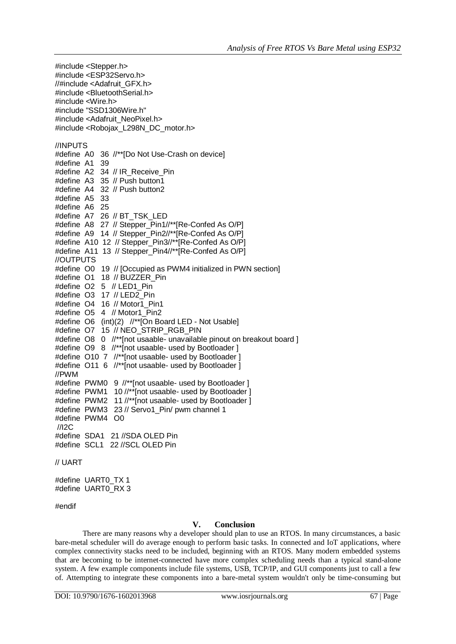#include <Stepper.h> #include <ESP32Servo.h> //#include <Adafruit\_GFX.h> #include <BluetoothSerial.h> #include <Wire.h> #include "SSD1306Wire.h" #include <Adafruit\_NeoPixel.h> #include <Robojax\_L298N\_DC\_motor.h> //INPUTS #define A0 36 //\*\*[Do Not Use-Crash on device] #define A1 39 #define A2 34 // IR\_Receive\_Pin #define A3 35 // Push button1 #define A4 32 // Push button2 #define A5 33 #define A6 25 #define A7 26 // BT\_TSK\_LED #define A8 27 // Stepper Pin1//\*\*[Re-Confed As O/P] #define A9 14 // Stepper Pin2//\*\*[Re-Confed As O/P] #define A10 12 // Stepper Pin3//\*\*[Re-Confed As O/P] #define A11 13 // Stepper Pin4//\*\*[Re-Confed As O/P] //OUTPUTS #define O0 19 // [Occupied as PWM4 initialized in PWN section] #define O1 18 // BUZZER\_Pin #define O2 5 // LED1\_Pin #define O3 17 // LED2\_Pin #define O4 16 // Motor1\_Pin1 #define O5 4 // Motor1\_Pin2 #define O6 (int)(2) //\*\*[On Board LED - Not Usable] #define O7 15 // NEO\_STRIP\_RGB\_PIN #define O8 0 //\*\*[not usaable- unavailable pinout on breakout board ] #define O9 8 //\*\*[not usaable- used by Bootloader ] #define O10 7 //\*\*[not usaable- used by Bootloader 1 #define O11 6 //\*\*[not usaable- used by Bootloader ] //PWM #define PWM0 9 //\*\*[not usaable- used by Bootloader ] #define PWM1 10 //\*\*[not usaable- used by Bootloader ] #define PWM2 11 //\*\*[not usaable- used by Bootloader ] #define PWM3 23 // Servo1 Pin/ pwm channel 1 #define PWM4 O0 //I2C #define SDA1 21 //SDA OLED Pin #define SCL1 22 //SCL OLED Pin // UART

#define UART0\_TX 1 #define UART0\_RX 3

#endif

# **V. Conclusion**

There are many reasons why a developer should plan to use an RTOS. In many circumstances, a basic bare-metal scheduler will do average enough to perform basic tasks. In connected and IoT applications, where complex connectivity stacks need to be included, beginning with an RTOS. Many modern embedded systems that are becoming to be internet-connected have more complex scheduling needs than a typical stand-alone system. A few example components include file systems, USB, TCP/IP, and GUI components just to call a few of. Attempting to integrate these components into a bare-metal system wouldn't only be time-consuming but